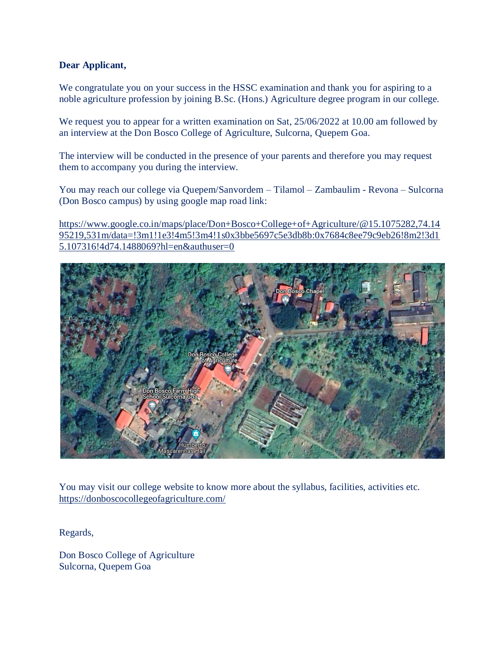#### **Dear Applicant,**

We congratulate you on your success in the HSSC examination and thank you for aspiring to a noble agriculture profession by joining B.Sc. (Hons.) Agriculture degree program in our college.

We request you to appear for a written examination on Sat, 25/06/2022 at 10.00 am followed by an interview at the Don Bosco College of Agriculture, Sulcorna, Quepem Goa.

The interview will be conducted in the presence of your parents and therefore you may request them to accompany you during the interview.

You may reach our college via Quepem/Sanvordem – Tilamol – Zambaulim - Revona – Sulcorna (Don Bosco campus) by using google map road link:

[https://www.google.co.in/maps/place/Don+Bosco+College+of+Agriculture/@15.1075282,74.14](https://www.google.co.in/maps/place/Don+Bosco+College+of+Agriculture/@15.1075282,74.1495219,531m/data=!3m1!1e3!4m5!3m4!1s0x3bbe5697c5e3db8b:0x7684c8ee79c9eb26!8m2!3d15.107316!4d74.1488069?hl=en&authuser=0) [95219,531m/data=!3m1!1e3!4m5!3m4!1s0x3bbe5697c5e3db8b:0x7684c8ee79c9eb26!8m2!3d1](https://www.google.co.in/maps/place/Don+Bosco+College+of+Agriculture/@15.1075282,74.1495219,531m/data=!3m1!1e3!4m5!3m4!1s0x3bbe5697c5e3db8b:0x7684c8ee79c9eb26!8m2!3d15.107316!4d74.1488069?hl=en&authuser=0) [5.107316!4d74.1488069?hl=en&authuser=0](https://www.google.co.in/maps/place/Don+Bosco+College+of+Agriculture/@15.1075282,74.1495219,531m/data=!3m1!1e3!4m5!3m4!1s0x3bbe5697c5e3db8b:0x7684c8ee79c9eb26!8m2!3d15.107316!4d74.1488069?hl=en&authuser=0)



You may visit our college website to know more about the syllabus, facilities, activities etc. <https://donboscocollegeofagriculture.com/>

Regards,

Don Bosco College of Agriculture Sulcorna, Quepem Goa